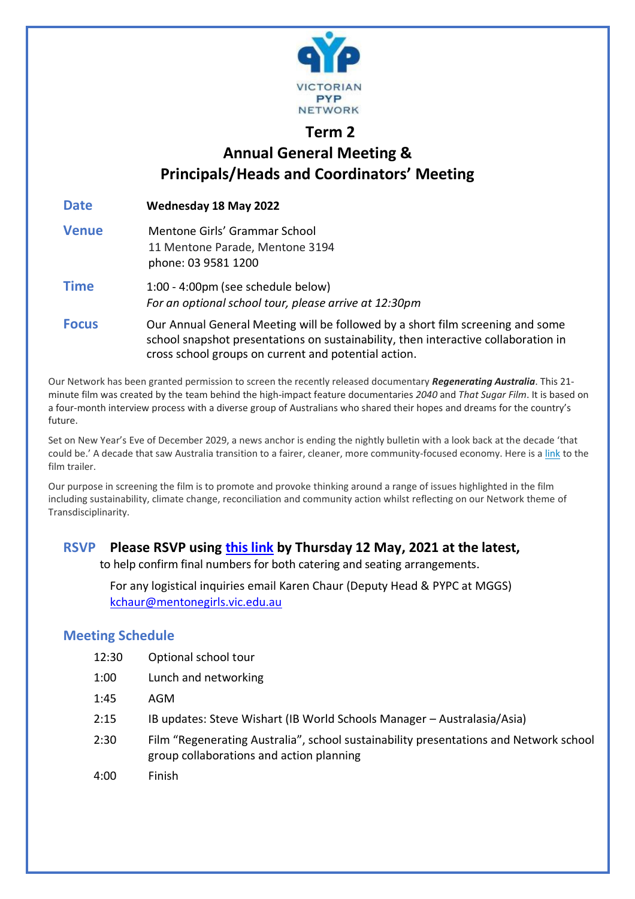

## **Term 2 Annual General Meeting & Principals/Heads and Coordinators' Meeting**

**Date Wednesday 18 May 2022 Venue** Mentone Girls' Grammar School 11 Mentone Parade, Mentone 3194 phone: 03 9581 1200 **Time** 1:00 - 4:00pm (see schedule below) *For an optional school tour, please arrive at 12:30pm*  **Focus** Our Annual General Meeting will be followed by a short film screening and some school snapshot presentations on sustainability, then interactive collaboration in cross school groups on current and potential action.

Our Network has been granted permission to screen the recently released documentary *Regenerating Australia*. This 21 minute film was created by the team behind the high-impact feature documentaries *2040* and *That Sugar Film*. It is based on a four-month interview process with a diverse group of Australians who shared their hopes and dreams for the country's future.

Set on New Year's Eve of December 2029, a news anchor is ending the nightly bulletin with a look back at the decade 'that could be.' A decade that saw Australia transition to a fairer, cleaner, more community-focused economy. Here is a [link](https://www.youtube.com/watch?v=ggCNSlmSecI) to the film trailer.

Our purpose in screening the film is to promote and provoke thinking around a range of issues highlighted in the film including sustainability, climate change, reconciliation and community action whilst reflecting on our Network theme of Transdisciplinarity.

## **RSVP Please RSVP using [this link](https://forms.gle/5VRTjq7JCMY89vGc6) by Thursday 12 May, 2021 at the latest,**

to help confirm final numbers for both catering and seating arrangements.

For any logistical inquiries email Karen Chaur (Deputy Head & PYPC at MGGS) [kchaur@mentonegirls.vic.edu.au](mailto:kchaur@mentonegirls.vic.edu.au)

## **Meeting Schedule**

- 12:30 Optional school tour
- 1:00 Lunch and networking
- 1:45 AGM
- 2:15 IB updates: Steve Wishart (IB World Schools Manager Australasia/Asia)
- 2:30 Film "Regenerating Australia", school sustainability presentations and Network school group collaborations and action planning
- 4:00 Finish